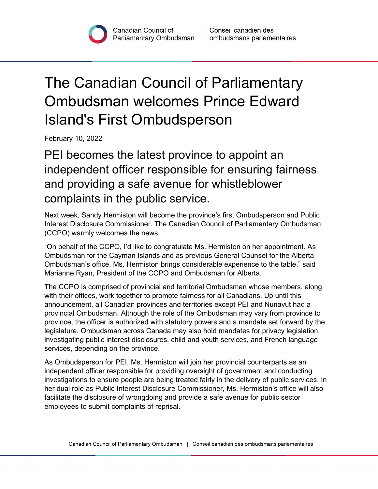## The Canadian Council of Parliamentary Ombudsman welcomes Prince Edward Island's First Ombudsperson

February 10, 2022

PEI becomes the latest province to appoint an independent officer responsible for ensuring fairness and providing a safe avenue for whistleblower complaints in the public service.

Next week, Sandy Hermiston will become the province's first Ombudsperson and Public Interest Disclosure Commissioner. The Canadian Council of Parliamentary Ombudsman (CCPO) warmly welcomes the news.

"On behalf of the CCPO, I'd like to congratulate Ms. Hermiston on her appointment. As Ombudsman for the Cayman Islands and as previous General Counsel for the Alberta Ombudsman's office, Ms. Hermiston brings considerable experience to the table," said Marianne Ryan, President of the CCPO and Ombudsman for Alberta.

The CCPO is comprised of provincial and territorial Ombudsman whose members, along with their offices, work together to promote fairness for all Canadians. Up until this announcement, all Canadian provinces and territories except PEI and Nunavut had a provincial Ombudsman. Although the role of the Ombudsman may vary from province to province, the officer is authorized with statutory powers and a mandate set forward by the legislature. Ombudsman across Canada may also hold mandates for privacy legislation, investigating public interest disclosures, child and youth services, and French language services, depending on the province.

As Ombudsperson for PEI, Ms. Hermiston will join her provincial counterparts as an independent officer responsible for providing oversight of government and conducting investigations to ensure people are being treated fairly in the delivery of public services. In her dual role as Public Interest Disclosure Commissioner, Ms. Hermiston's office will also facilitate the disclosure of wrongdoing and provide a safe avenue for public sector employees to submit complaints of reprisal.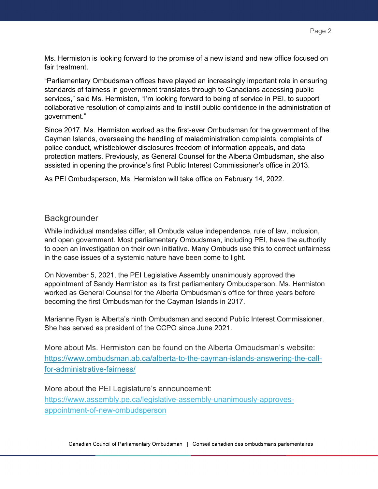Ms. Hermiston is looking forward to the promise of a new island and new office focused on fair treatment.

"Parliamentary Ombudsman offices have played an increasingly important role in ensuring standards of fairness in government translates through to Canadians accessing public services," said Ms. Hermiston, "I'm looking forward to being of service in PEI, to support collaborative resolution of complaints and to instill public confidence in the administration of government."

Since 2017, Ms. Hermiston worked as the first-ever Ombudsman for the government of the Cayman Islands, overseeing the handling of maladministration complaints, complaints of police conduct, whistleblower disclosures freedom of information appeals, and data protection matters. Previously, as General Counsel for the Alberta Ombudsman, she also assisted in opening the province's first Public Interest Commissioner's office in 2013.

As PEI Ombudsperson, Ms. Hermiston will take office on February 14, 2022.

## **Backgrounder**

While individual mandates differ, all Ombuds value independence, rule of law, inclusion, and open government. Most parliamentary Ombudsman, including PEI, have the authority to open an investigation on their own initiative. Many Ombuds use this to correct unfairness in the case issues of a systemic nature have been come to light.

On November 5, 2021, the PEI Legislative Assembly unanimously approved the appointment of Sandy Hermiston as its first parliamentary Ombudsperson. Ms. Hermiston worked as General Counsel for the Alberta Ombudsman's office for three years before becoming the first Ombudsman for the Cayman Islands in 2017.

Marianne Ryan is Alberta's ninth Ombudsman and second Public Interest Commissioner. She has served as president of the CCPO since June 2021.

More about Ms. Hermiston can be found on the Alberta Ombudsman's website: https://www.ombudsman.ab.ca/alberta-to-the-cayman-islands-answering-the-callfor-administrative-fairness/

More about the PEI Legislature's announcement: [https://www.assembly.pe.ca/legislative-assembly-unanimously-approves](https://www.assembly.pe.ca/legislative-assembly-unanimously-approves-appointment-of-new-ombudsperson)[appointment-of-new-ombudsperson](https://www.assembly.pe.ca/legislative-assembly-unanimously-approves-appointment-of-new-ombudsperson)